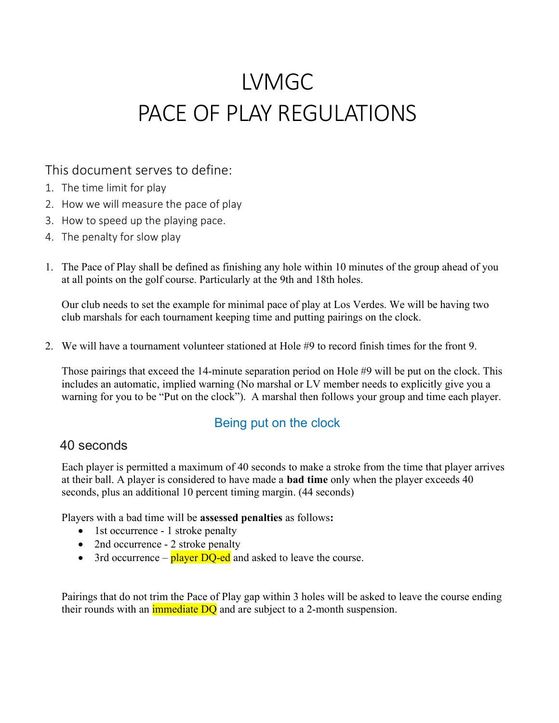# LVMGC PACE OF PLAY REGULATIONS

### This document serves to define:

- 1. The time limit for play
- 2. How we will measure the pace of play
- 3. How to speed up the playing pace.
- 4. The penalty for slow play
- 1. The Pace of Play shall be defined as finishing any hole within 10 minutes of the group ahead of you at all points on the golf course. Particularly at the 9th and 18th holes.

Our club needs to set the example for minimal pace of play at Los Verdes. We will be having two club marshals for each tournament keeping time and putting pairings on the clock.

2. We will have a tournament volunteer stationed at Hole #9 to record finish times for the front 9.

Those pairings that exceed the 14-minute separation period on Hole #9 will be put on the clock. This includes an automatic, implied warning (No marshal or LV member needs to explicitly give you a warning for you to be "Put on the clock"). A marshal then follows your group and time each player.

## Being put on the clock

#### 40 seconds

Each player is permitted a maximum of 40 seconds to make a stroke from the time that player arrives at their ball. A player is considered to have made a **bad time** only when the player exceeds 40 seconds, plus an additional 10 percent timing margin. (44 seconds)

Players with a bad time will be assessed penalties as follows:

- 1st occurrence 1 stroke penalty
- 2nd occurrence 2 stroke penalty
- $\bullet$  3rd occurrence player DQ-ed and asked to leave the course.

Pairings that do not trim the Pace of Play gap within 3 holes will be asked to leave the course ending their rounds with an *immediate DO* and are subject to a 2-month suspension.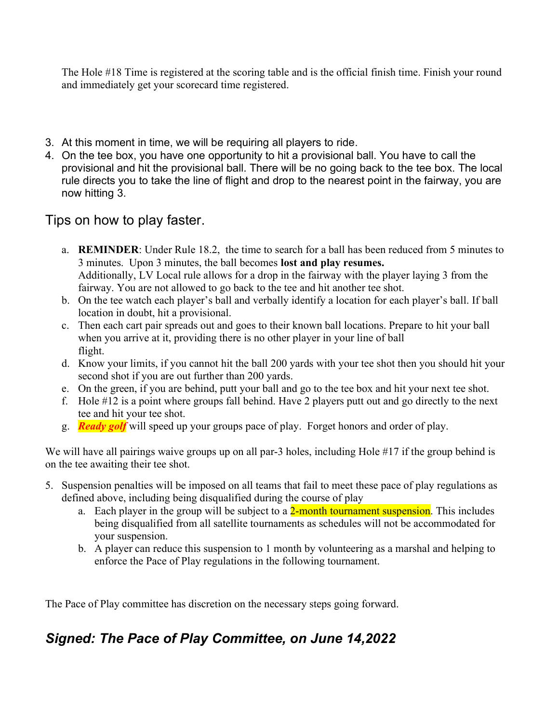The Hole #18 Time is registered at the scoring table and is the official finish time. Finish your round and immediately get your scorecard time registered.

- 3. At this moment in time, we will be requiring all players to ride.
- 4. On the tee box, you have one opportunity to hit a provisional ball. You have to call the provisional and hit the provisional ball. There will be no going back to the tee box. The local rule directs you to take the line of flight and drop to the nearest point in the fairway, you are now hitting 3.

Tips on how to play faster.

- a. REMINDER: Under Rule 18.2, the time to search for a ball has been reduced from 5 minutes to 3 minutes. Upon 3 minutes, the ball becomes lost and play resumes. Additionally, LV Local rule allows for a drop in the fairway with the player laying 3 from the fairway. You are not allowed to go back to the tee and hit another tee shot.
- b. On the tee watch each player's ball and verbally identify a location for each player's ball. If ball location in doubt, hit a provisional.
- c. Then each cart pair spreads out and goes to their known ball locations. Prepare to hit your ball when you arrive at it, providing there is no other player in your line of ball flight.
- d. Know your limits, if you cannot hit the ball 200 yards with your tee shot then you should hit your second shot if you are out further than 200 yards.
- e. On the green, if you are behind, putt your ball and go to the tee box and hit your next tee shot.
- f. Hole #12 is a point where groups fall behind. Have 2 players putt out and go directly to the next tee and hit your tee shot.
- g. Ready golf will speed up your groups pace of play. Forget honors and order of play.

We will have all pairings waive groups up on all par-3 holes, including Hole #17 if the group behind is on the tee awaiting their tee shot.

- 5. Suspension penalties will be imposed on all teams that fail to meet these pace of play regulations as defined above, including being disqualified during the course of play
	- a. Each player in the group will be subject to a 2-month tournament suspension. This includes being disqualified from all satellite tournaments as schedules will not be accommodated for your suspension.
	- b. A player can reduce this suspension to 1 month by volunteering as a marshal and helping to enforce the Pace of Play regulations in the following tournament.

The Pace of Play committee has discretion on the necessary steps going forward.

## Signed: The Pace of Play Committee, on June 14,2022